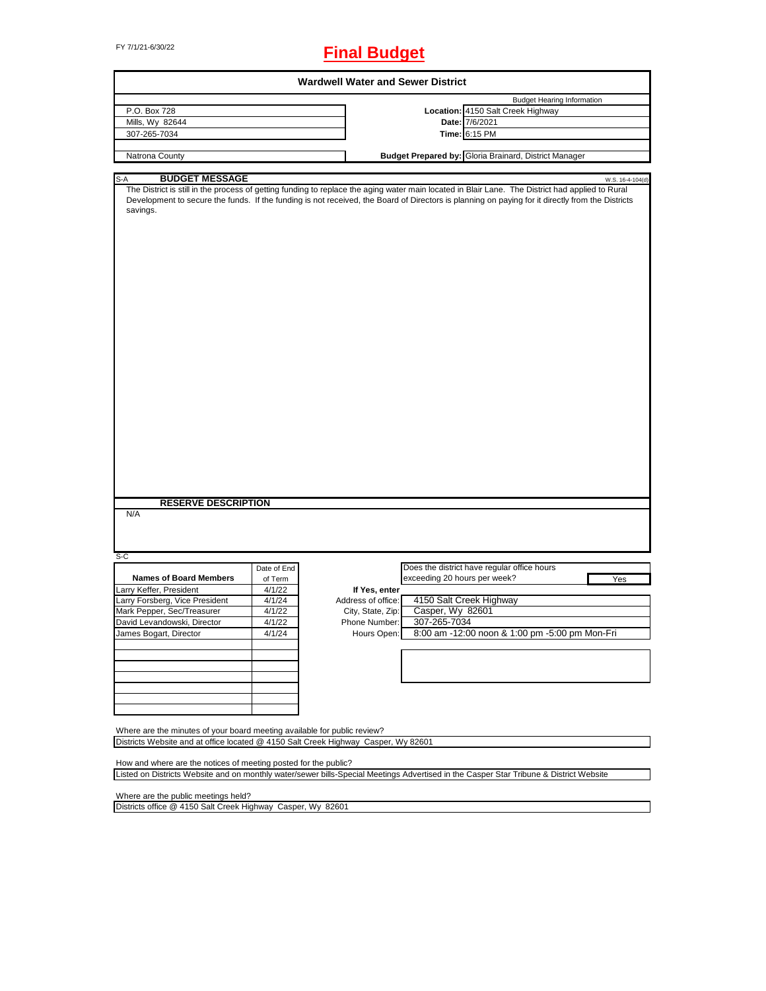# FY 7/1/21-6/30/22 **Final Budget**

| <b>Wardwell Water and Sewer District</b>                                           |             |                    |                              |                                                                                                                                                                                                                                                                                                      |  |  |
|------------------------------------------------------------------------------------|-------------|--------------------|------------------------------|------------------------------------------------------------------------------------------------------------------------------------------------------------------------------------------------------------------------------------------------------------------------------------------------------|--|--|
|                                                                                    |             |                    |                              | <b>Budget Hearing Information</b>                                                                                                                                                                                                                                                                    |  |  |
| P.O. Box 728                                                                       |             |                    |                              | Location: 4150 Salt Creek Highway                                                                                                                                                                                                                                                                    |  |  |
| Mills, Wy 82644                                                                    |             |                    |                              | Date: 7/6/2021                                                                                                                                                                                                                                                                                       |  |  |
| 307-265-7034                                                                       |             |                    |                              | Time: 6:15 PM                                                                                                                                                                                                                                                                                        |  |  |
|                                                                                    |             |                    |                              |                                                                                                                                                                                                                                                                                                      |  |  |
| Natrona County                                                                     |             |                    |                              | Budget Prepared by: Gloria Brainard, District Manager                                                                                                                                                                                                                                                |  |  |
| <b>BUDGET MESSAGE</b><br>S-A                                                       |             |                    |                              | W.S. 16-4-104(d)                                                                                                                                                                                                                                                                                     |  |  |
| savings.                                                                           |             |                    |                              | The District is still in the process of getting funding to replace the aging water main located in Blair Lane. The District had applied to Rural<br>Development to secure the funds. If the funding is not received, the Board of Directors is planning on paying for it directly from the Districts |  |  |
| <b>RESERVE DESCRIPTION</b><br>N/A                                                  |             |                    |                              |                                                                                                                                                                                                                                                                                                      |  |  |
|                                                                                    |             |                    |                              |                                                                                                                                                                                                                                                                                                      |  |  |
| S-C                                                                                | Date of End |                    |                              | Does the district have regular office hours                                                                                                                                                                                                                                                          |  |  |
| <b>Names of Board Members</b>                                                      | of Term     |                    | exceeding 20 hours per week? | Yes                                                                                                                                                                                                                                                                                                  |  |  |
| Larry Keffer, President                                                            | 4/1/22      | If Yes, enter      |                              |                                                                                                                                                                                                                                                                                                      |  |  |
| Larry Forsberg, Vice President                                                     | 4/1/24      | Address of office: |                              | 4150 Salt Creek Highway                                                                                                                                                                                                                                                                              |  |  |
| Mark Pepper, Sec/Treasurer                                                         | 4/1/22      | City, State, Zip:  | Casper, Wy 82601             |                                                                                                                                                                                                                                                                                                      |  |  |
| David Levandowski, Director                                                        | 4/1/22      | Phone Number:      | 307-265-7034                 |                                                                                                                                                                                                                                                                                                      |  |  |
| James Bogart, Director                                                             | 4/1/24      | Hours Open:        |                              | 8:00 am -12:00 noon & 1:00 pm -5:00 pm Mon-Fri                                                                                                                                                                                                                                                       |  |  |
|                                                                                    |             |                    |                              |                                                                                                                                                                                                                                                                                                      |  |  |
|                                                                                    |             |                    |                              |                                                                                                                                                                                                                                                                                                      |  |  |
|                                                                                    |             |                    |                              |                                                                                                                                                                                                                                                                                                      |  |  |
|                                                                                    |             |                    |                              |                                                                                                                                                                                                                                                                                                      |  |  |
| Where are the minutes of your board meeting available for public review?           |             |                    |                              |                                                                                                                                                                                                                                                                                                      |  |  |
| Districts Website and at office located @ 4150 Salt Creek Highway Casper, Wy 82601 |             |                    |                              |                                                                                                                                                                                                                                                                                                      |  |  |
| How and where are the notices of meeting posted for the public?                    |             |                    |                              | Listed on Districts Website and on monthly water/sewer bills-Special Meetings Advertised in the Casper Star Tribune & District Website                                                                                                                                                               |  |  |

Where are the public meetings held?

Districts office @ 4150 Salt Creek Highway Casper, Wy 82601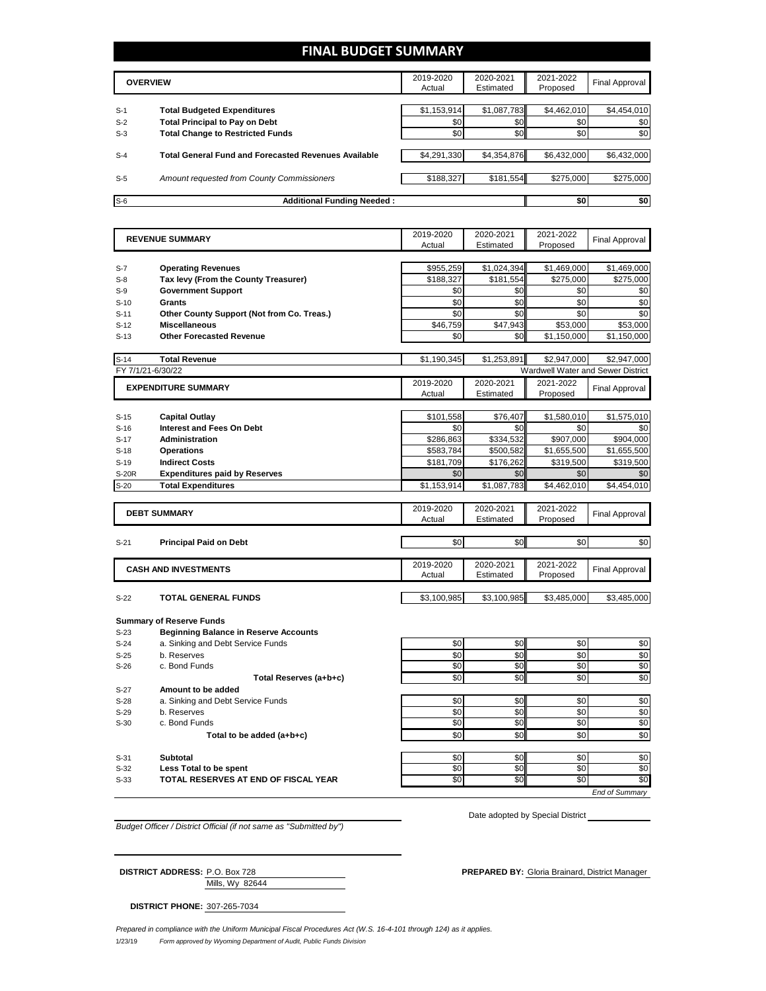#### **FINAL BUDGET SUMMARY**

|       | <b>OVERVIEW</b>                                             | 2019-2020<br>Actual | 2020-2021<br>Estimated | 2021-2022<br>Proposed | Final Approval |
|-------|-------------------------------------------------------------|---------------------|------------------------|-----------------------|----------------|
| $S-1$ | <b>Total Budgeted Expenditures</b>                          | \$1,153,914         | \$1,087,783            | \$4,462,010           | \$4,454,010    |
| $S-2$ | <b>Total Principal to Pay on Debt</b>                       | \$0                 | \$0 <sub>1</sub>       | \$0                   | \$0            |
| $S-3$ | <b>Total Change to Restricted Funds</b>                     | \$0                 | \$0                    | \$0                   | \$0            |
| $S-4$ | <b>Total General Fund and Forecasted Revenues Available</b> | \$4,291,330         | \$4,354,876            | \$6,432,000           | \$6,432,000    |
| $S-5$ | Amount requested from County Commissioners                  | \$188,327           | \$181,554              | \$275,000             | \$275,000      |
| $S-6$ | <b>Additional Funding Needed:</b>                           |                     |                        | \$0                   | \$0            |

|                   | <b>REVENUE SUMMARY</b>                       | 2019-2020   | 2020-2021   | 2021-2022       | <b>Final Approval</b>                    |
|-------------------|----------------------------------------------|-------------|-------------|-----------------|------------------------------------------|
|                   |                                              | Actual      | Estimated   | Proposed        |                                          |
|                   |                                              |             |             |                 |                                          |
| $S-7$             | <b>Operating Revenues</b>                    | \$955,259   | \$1,024,394 | \$1,469,000     | \$1,469,000                              |
| $S-8$             | Tax levy (From the County Treasurer)         | \$188,327   | \$181,554   | \$275,000       | \$275,000                                |
| $S-9$             | <b>Government Support</b>                    | \$0         | \$0         | \$0             | \$0                                      |
| $S-10$            | Grants                                       | \$0         | \$0         | \$0             | \$0                                      |
| $S-11$            | Other County Support (Not from Co. Treas.)   | \$0         | \$0         | \$0             | \$0                                      |
| $S-12$            | <b>Miscellaneous</b>                         | \$46.759    | \$47,943    | \$53,000        | \$53.000                                 |
| $S-13$            | <b>Other Forecasted Revenue</b>              | \$0         | \$0         | \$1,150,000     | \$1,150,000                              |
|                   |                                              |             |             |                 |                                          |
| $S-14$            | <b>Total Revenue</b>                         | \$1,190,345 | \$1,253,891 | \$2,947,000     | \$2.947.000                              |
| FY 7/1/21-6/30/22 |                                              |             |             |                 | <b>Wardwell Water and Sewer District</b> |
|                   | <b>EXPENDITURE SUMMARY</b>                   | 2019-2020   | 2020-2021   | 2021-2022       | <b>Final Approval</b>                    |
|                   |                                              | Actual      | Estimated   | Proposed        |                                          |
|                   |                                              |             |             |                 |                                          |
| $S-15$            | <b>Capital Outlay</b>                        | \$101,558   | \$76,407    | \$1,580,010     | \$1,575,010                              |
| $S-16$            | <b>Interest and Fees On Debt</b>             | \$0         | \$0         | \$0             | \$0                                      |
| $S-17$            | <b>Administration</b>                        | \$286,863   | \$334,532   | \$907,000       | \$904,000                                |
| $S-18$            | <b>Operations</b>                            | \$583,784   | \$500,582   | \$1,655,500     | \$1,655,500                              |
| $S-19$            | <b>Indirect Costs</b>                        | \$181,709   | \$176,262   | \$319,500       | \$319,500                                |
| <b>S-20R</b>      | <b>Expenditures paid by Reserves</b>         | \$0         | \$0         | \$0             | \$0                                      |
| $S-20$            | <b>Total Expenditures</b>                    | \$1,153,914 | \$1,087,783 | \$4,462,010     | \$4,454,010                              |
|                   |                                              |             |             |                 |                                          |
|                   | <b>DEBT SUMMARY</b>                          | 2019-2020   | 2020-2021   | 2021-2022       | <b>Final Approval</b>                    |
|                   |                                              | Actual      | Estimated   | Proposed        |                                          |
|                   |                                              |             |             |                 |                                          |
| $S-21$            | <b>Principal Paid on Debt</b>                | \$0         | \$0         | \$0             | \$0                                      |
|                   |                                              | 2019-2020   | 2020-2021   | 2021-2022       |                                          |
|                   | <b>CASH AND INVESTMENTS</b>                  | Actual      | Estimated   | Proposed        | <b>Final Approval</b>                    |
|                   |                                              |             |             |                 |                                          |
| $S-22$            | <b>TOTAL GENERAL FUNDS</b>                   | \$3,100,985 | \$3,100,985 | \$3,485,000     | \$3,485,000                              |
|                   |                                              |             |             |                 |                                          |
|                   | <b>Summary of Reserve Funds</b>              |             |             |                 |                                          |
| $S-23$            | <b>Beginning Balance in Reserve Accounts</b> |             |             |                 |                                          |
| $S-24$            | a. Sinking and Debt Service Funds            | \$0         | \$0         | \$0             | \$0                                      |
| $S-25$            | b. Reserves                                  | \$0         | \$0         | \$0             | \$0                                      |
| $S-26$            | c. Bond Funds                                | \$0         | \$0         | \$0             | \$0                                      |
|                   | Total Reserves (a+b+c)                       | \$0         | \$0         | $\overline{50}$ | \$0                                      |
| $S-27$            | Amount to be added                           |             |             |                 |                                          |
| $S-28$            | a. Sinking and Debt Service Funds            | \$0         | \$0         | \$0             | \$0                                      |
| $S-29$            | b. Reserves                                  | \$0         | \$0         | \$0             | \$0                                      |
| $S-30$            | c. Bond Funds                                | \$0         | \$0         | \$0             | \$0                                      |
|                   | Total to be added (a+b+c)                    | \$0         | \$0         | \$0             | \$0                                      |
|                   |                                              |             |             |                 |                                          |
| $S-31$            | <b>Subtotal</b>                              | \$0         | \$0         | \$0             | \$0                                      |
|                   |                                              |             |             |                 |                                          |
| $S-32$            | Less Total to be spent                       | \$0         | \$0         | \$0             | \$0                                      |
| $S-33$            | TOTAL RESERVES AT END OF FISCAL YEAR         | \$0         | \$0         | $\overline{50}$ | \$0                                      |

*Budget Officer / District Official (if not same as "Submitted by")*

**DISTRICT ADDRESS:** P.O. Box 728 **PREPARED BY:** Gloria Brainard, District Manager

Date adopted by Special District \_\_

| <b>DISTRICT ADDRESS: P.O. Box 728</b> |                 |
|---------------------------------------|-----------------|
|                                       | Mills, Wy 82644 |

**DISTRICT PHONE:** 307-265-7034

1/23/19 *Form approved by Wyoming Department of Audit, Public Funds Division Prepared in compliance with the Uniform Municipal Fiscal Procedures Act (W.S. 16-4-101 through 124) as it applies.*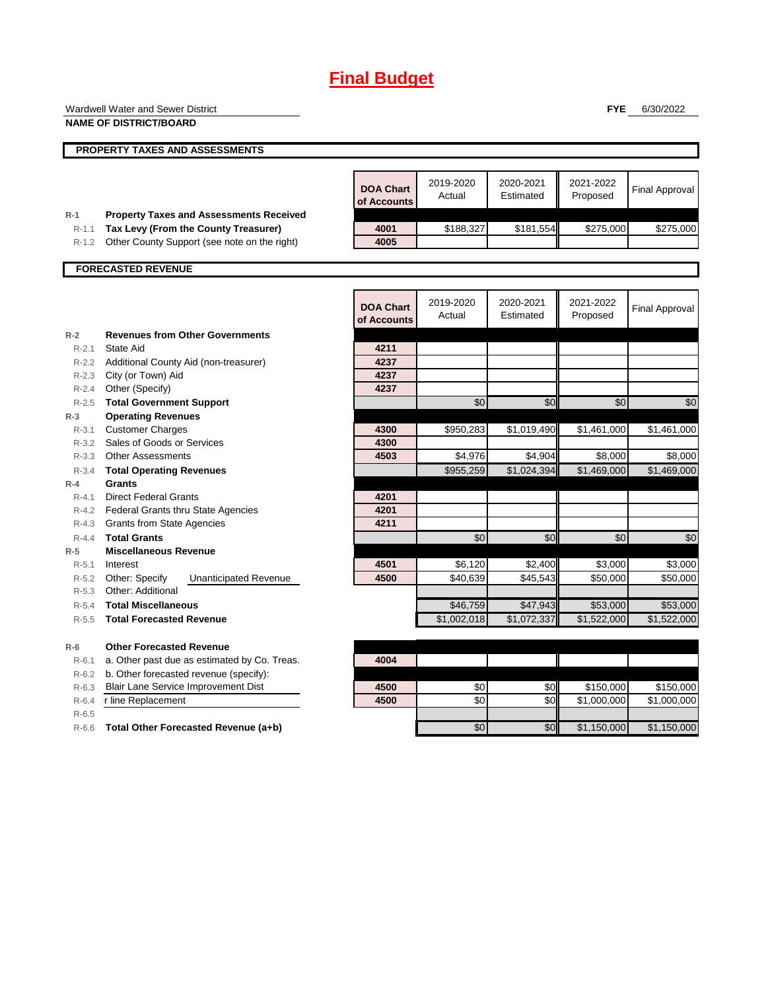# **Final Budget**

|                        | Wardwell Water and Sewer District                                  |                  |                     |                        | <b>FYE</b>             | 6/30/2022                  |
|------------------------|--------------------------------------------------------------------|------------------|---------------------|------------------------|------------------------|----------------------------|
|                        | <b>NAME OF DISTRICT/BOARD</b>                                      |                  |                     |                        |                        |                            |
|                        | PROPERTY TAXES AND ASSESSMENTS                                     |                  |                     |                        |                        |                            |
|                        |                                                                    | <b>DOA Chart</b> | 2019-2020<br>Actual | 2020-2021<br>Estimated | 2021-2022<br>Proposed  | <b>Final Approval</b>      |
| $R-1$                  | <b>Property Taxes and Assessments Received</b>                     | of Accounts      |                     |                        |                        |                            |
| $R-1.1$                | Tax Levy (From the County Treasurer)                               | 4001             | \$188,327           | \$181,554              | \$275,000              | \$275,000                  |
| $R-1.2$                | Other County Support (see note on the right)                       | 4005             |                     |                        |                        |                            |
|                        | <b>FORECASTED REVENUE</b>                                          |                  |                     |                        |                        |                            |
|                        |                                                                    |                  |                     |                        |                        |                            |
|                        |                                                                    | <b>DOA Chart</b> | 2019-2020           | 2020-2021              | 2021-2022              | <b>Final Approval</b>      |
|                        |                                                                    | of Accounts      | Actual              | Estimated              | Proposed               |                            |
| $R-2$                  | <b>Revenues from Other Governments</b>                             |                  |                     |                        |                        |                            |
| $R-2.1$                | <b>State Aid</b>                                                   | 4211             |                     |                        |                        |                            |
| R-2.2                  | Additional County Aid (non-treasurer)                              | 4237             |                     |                        |                        |                            |
| $R-2.3$                | City (or Town) Aid                                                 | 4237             |                     |                        |                        |                            |
| $R - 2.4$              | Other (Specify)                                                    | 4237             |                     |                        |                        |                            |
| $R-2.5$                | <b>Total Government Support</b>                                    |                  | \$0                 | \$0                    | $\sqrt{6}$             | \$0                        |
| $R-3$                  | <b>Operating Revenues</b>                                          |                  |                     |                        |                        |                            |
| $R - 3.1$              | <b>Customer Charges</b>                                            | 4300             | \$950,283           | \$1,019,490            | \$1,461,000            | \$1,461,000                |
| $R - 3.2$              | Sales of Goods or Services                                         | 4300<br>4503     |                     |                        |                        |                            |
| $R - 3.3$              | <b>Other Assessments</b>                                           |                  | \$4,976             | \$4,904<br>\$1,024,394 | \$8,000<br>\$1.469.000 | \$8,000                    |
| $R - 3.4$              | <b>Total Operating Revenues</b>                                    |                  | \$955,259           |                        |                        | \$1,469,000                |
| $R-4$                  | Grants                                                             |                  |                     |                        |                        |                            |
| $R - 4.1$<br>$R - 4.2$ | <b>Direct Federal Grants</b><br>Federal Grants thru State Agencies | 4201<br>4201     |                     |                        |                        |                            |
| $R - 4.3$              | <b>Grants from State Agencies</b>                                  | 4211             |                     |                        |                        |                            |
| $R - 4.4$              | <b>Total Grants</b>                                                |                  | \$0                 | \$0                    | \$0                    | \$0                        |
| $R-5$                  | <b>Miscellaneous Revenue</b>                                       |                  |                     |                        |                        |                            |
| R-5.1                  | Interest                                                           | 4501             | \$6,120             | \$2,400                | \$3,000                | \$3,000                    |
| R-5.2                  | Other: Specify<br><b>Unanticipated Revenue</b>                     | 4500             | \$40,639            | \$45,543               | \$50,000               | \$50,000                   |
| $R-5.3$                | Other: Additional                                                  |                  |                     |                        |                        |                            |
| $R-5.4$                | <b>Total Miscellaneous</b>                                         |                  | \$46,759            | \$47,943               | \$53,000               | \$53,000                   |
| $R - 5.5$              | <b>Total Forecasted Revenue</b>                                    |                  | \$1,002,018         | \$1,072,337            | \$1,522,000            | \$1,522,000                |
| $R-6$                  | <b>Other Forecasted Revenue</b>                                    |                  |                     |                        |                        |                            |
| $R-6.1$                | a. Other past due as estimated by Co. Treas.                       | 4004             |                     |                        |                        |                            |
| $R-6.2$                | b. Other forecasted revenue (specify):                             |                  |                     |                        |                        |                            |
| $R-6.3$                | <b>Blair Lane Service Improvement Dist</b>                         | 4500             | \$0                 | \$0                    | \$150,000              | \$150,000                  |
| $R-6.4$                | r line Replacement                                                 | 4500             | \$0                 | \$0                    | \$1,000,000            | \$1,000,000                |
| $R-6.5$                |                                                                    |                  |                     |                        |                        |                            |
|                        |                                                                    |                  | \$0                 | \$0                    |                        | \$1,150,000<br>\$1,150,000 |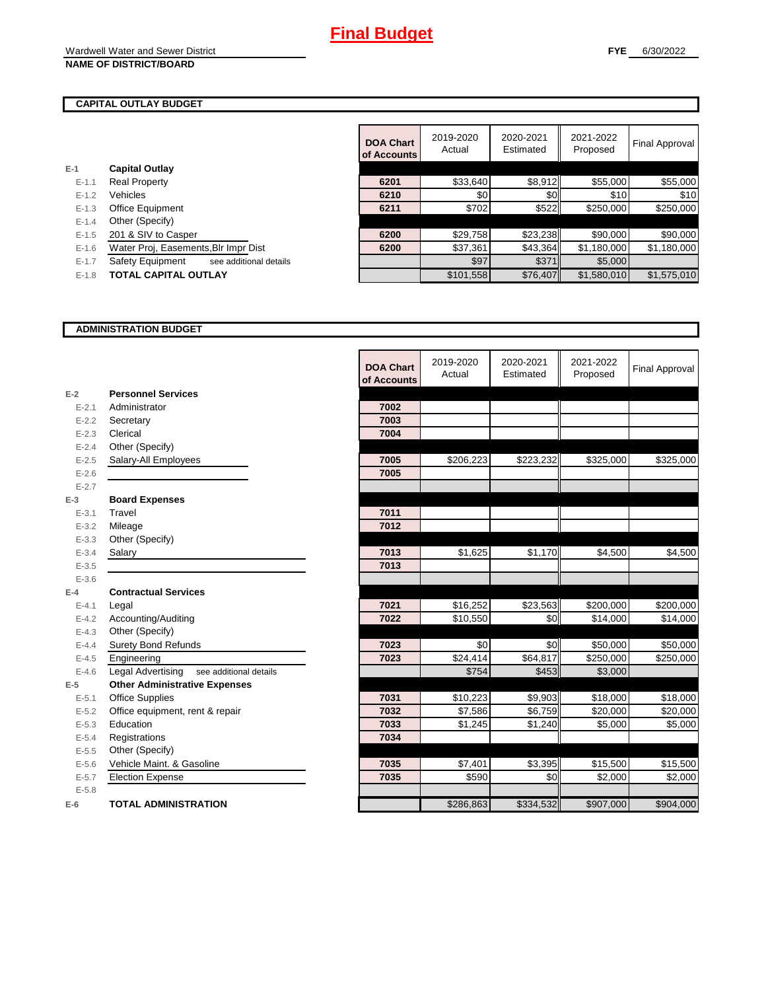#### **CAPITAL OUTLAY BUDGET**

**E-1**

|           |                                            | <b>DOA Chart</b><br>of Accounts | 2019-2020<br>Actual | 2020-2021<br>Estimated | 2021-2022<br>Proposed | Final Approval |
|-----------|--------------------------------------------|---------------------------------|---------------------|------------------------|-----------------------|----------------|
| -1        | <b>Capital Outlay</b>                      |                                 |                     |                        |                       |                |
| $E - 1.1$ | <b>Real Property</b>                       | 6201                            | \$33,640            | \$8,912                | \$55,000              | \$55,000       |
| $E-1.2$   | Vehicles                                   | 6210                            | \$0                 | \$0                    | \$10                  | \$10           |
| $E-1.3$   | <b>Office Equipment</b>                    | 6211                            | \$702               | \$522                  | \$250,000             | \$250,000      |
| $E - 1.4$ | Other (Specify)                            |                                 |                     |                        |                       |                |
| $E-1.5$   | 201 & SIV to Casper                        | 6200                            | \$29,758            | \$23,238               | \$90,000              | \$90,000       |
| $E-1.6$   | Water Proj, Easements, Blr Impr Dist       | 6200                            | \$37,361            | \$43,364               | \$1,180,000           | \$1,180,000    |
| $E - 1.7$ | Safety Equipment<br>see additional details |                                 | \$97                | \$371                  | \$5,000               |                |
| $E-1.8$   | <b>TOTAL CAPITAL OUTLAY</b>                |                                 | \$101,558           | \$76,407               | \$1,580,010           | \$1,575,010    |

#### **ADMINISTRATION BUDGET**

|           |                                                    | <b>DOA Chart</b><br>of Accounts | 2019-2020<br>Actual | 2020-2021<br>Estimated | 2021-2022<br>Proposed | <b>Final Approval</b> |
|-----------|----------------------------------------------------|---------------------------------|---------------------|------------------------|-----------------------|-----------------------|
| $E-2$     | <b>Personnel Services</b>                          |                                 |                     |                        |                       |                       |
| $E - 2.1$ | Administrator                                      | 7002                            |                     |                        |                       |                       |
| $E-2.2$   | Secretary                                          | 7003                            |                     |                        |                       |                       |
| $E - 2.3$ | Clerical                                           | 7004                            |                     |                        |                       |                       |
| $E - 2.4$ | Other (Specify)                                    |                                 |                     |                        |                       |                       |
| $E - 2.5$ | Salary-All Employees                               | 7005                            | \$206,223           | \$223,232              | \$325,000             | \$325,000             |
| $E-2.6$   |                                                    | 7005                            |                     |                        |                       |                       |
| $E - 2.7$ |                                                    |                                 |                     |                        |                       |                       |
| $E-3$     | <b>Board Expenses</b>                              |                                 |                     |                        |                       |                       |
| $E - 3.1$ | Travel                                             | 7011                            |                     |                        |                       |                       |
| $E - 3.2$ | Mileage                                            | 7012                            |                     |                        |                       |                       |
| $E - 3.3$ | Other (Specify)                                    |                                 |                     |                        |                       |                       |
| $E - 3.4$ | Salary                                             | 7013                            | \$1,625             | \$1,170                | \$4,500               | \$4,500               |
| $E - 3.5$ |                                                    | 7013                            |                     |                        |                       |                       |
| $E - 3.6$ |                                                    |                                 |                     |                        |                       |                       |
| $E-4$     | <b>Contractual Services</b>                        |                                 |                     |                        |                       |                       |
| $E - 4.1$ | Legal                                              | 7021                            | \$16,252            | \$23,563               | \$200,000             | \$200,000             |
| $E - 4.2$ | Accounting/Auditing                                | 7022                            | \$10,550            | \$0                    | \$14,000              | \$14,000              |
| $E - 4.3$ | Other (Specify)                                    |                                 |                     |                        |                       |                       |
| $E-4.4$   | <b>Surety Bond Refunds</b>                         | 7023                            | \$0                 | \$0                    | \$50,000              | \$50,000              |
| $E-4.5$   | Engineering                                        | 7023                            | \$24,414            | \$64,817               | \$250,000             | \$250,000             |
| $E - 4.6$ | <b>Legal Advertising</b><br>see additional details |                                 | \$754               | \$453                  | \$3,000               |                       |
| $E-5$     | <b>Other Administrative Expenses</b>               |                                 |                     |                        |                       |                       |
| $E - 5.1$ | <b>Office Supplies</b>                             | 7031                            | \$10,223            | \$9,903                | \$18,000              | \$18,000              |
| $E - 5.2$ | Office equipment, rent & repair                    | 7032                            | \$7,586             | \$6,759                | \$20,000              | \$20,000              |
| $E - 5.3$ | Education                                          | 7033                            | \$1,245             | \$1,240                | \$5,000               | \$5,000               |
| $E - 5.4$ | Registrations                                      | 7034                            |                     |                        |                       |                       |
| $E-5.5$   | Other (Specify)                                    |                                 |                     |                        |                       |                       |
| $E-5.6$   | Vehicle Maint, & Gasoline                          | 7035                            | \$7,401             | \$3,395                | \$15,500              | \$15,500              |
| $E - 5.7$ | <b>Election Expense</b>                            | 7035                            | \$590               | \$0                    | \$2,000               | \$2,000               |
| $E - 5.8$ |                                                    |                                 |                     |                        |                       |                       |
| $E-6$     | <b>TOTAL ADMINISTRATION</b>                        |                                 | \$286,863           | \$334,532              | \$907,000             | \$904,000             |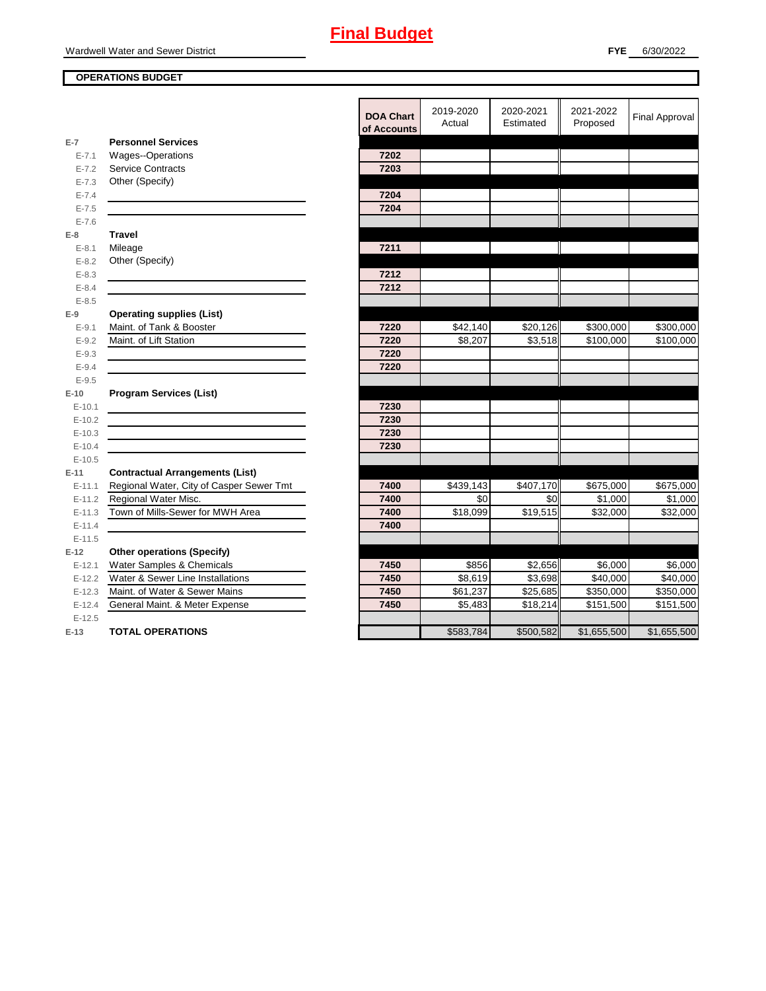#### **OPERATIONS BUDGET**

|            |                                          | <b>DOA Chart</b><br>of Accounts | 2019-2020<br>Actual | 2020-2021<br>Estimated | 2021-2022<br>Proposed | <b>Final Approval</b> |
|------------|------------------------------------------|---------------------------------|---------------------|------------------------|-----------------------|-----------------------|
| $E-7$      | <b>Personnel Services</b>                |                                 |                     |                        |                       |                       |
| $E - 7.1$  | <b>Wages--Operations</b>                 | 7202                            |                     |                        |                       |                       |
| $E - 7.2$  | <b>Service Contracts</b>                 | 7203                            |                     |                        |                       |                       |
| $E - 7.3$  | Other (Specify)                          |                                 |                     |                        |                       |                       |
| $E - 7.4$  |                                          | 7204                            |                     |                        |                       |                       |
| $E - 7.5$  |                                          | 7204                            |                     |                        |                       |                       |
| $E - 7.6$  |                                          |                                 |                     |                        |                       |                       |
| $E-8$      | <b>Travel</b>                            |                                 |                     |                        |                       |                       |
| $E - 8.1$  | Mileage                                  | 7211                            |                     |                        |                       |                       |
| $E - 8.2$  | Other (Specify)                          |                                 |                     |                        |                       |                       |
| $E - 8.3$  |                                          | 7212                            |                     |                        |                       |                       |
| $E - 8.4$  |                                          | 7212                            |                     |                        |                       |                       |
| $E - 8.5$  |                                          |                                 |                     |                        |                       |                       |
| $E-9$      | <b>Operating supplies (List)</b>         |                                 |                     |                        |                       |                       |
| $E - 9.1$  | Maint. of Tank & Booster                 | 7220                            | \$42,140            | \$20,126               | \$300,000             | \$300,000             |
| $E - 9.2$  | Maint. of Lift Station                   | 7220                            | \$8,207             | \$3,518                | \$100,000             | $\overline{$}100,000$ |
| $E - 9.3$  |                                          | 7220                            |                     |                        |                       |                       |
| $E - 9.4$  |                                          | 7220                            |                     |                        |                       |                       |
| $E - 9.5$  |                                          |                                 |                     |                        |                       |                       |
| $E-10$     | <b>Program Services (List)</b>           |                                 |                     |                        |                       |                       |
| $E-10.1$   |                                          | 7230                            |                     |                        |                       |                       |
| $E-10.2$   |                                          | 7230                            |                     |                        |                       |                       |
| $E-10.3$   |                                          | 7230                            |                     |                        |                       |                       |
| $E - 10.4$ |                                          | 7230                            |                     |                        |                       |                       |
| $E-10.5$   |                                          |                                 |                     |                        |                       |                       |
| $E-11$     | <b>Contractual Arrangements (List)</b>   |                                 |                     |                        |                       |                       |
| $E - 11.1$ | Regional Water, City of Casper Sewer Tmt | 7400                            | \$439,143           | \$407,170              | \$675,000             | \$675,000             |
| $E-11.2$   | Regional Water Misc.                     | 7400                            | \$0                 | \$0                    | \$1,000               | \$1,000               |
| $E-11.3$   | Town of Mills-Sewer for MWH Area         | 7400                            | \$18,099            | \$19,515               | \$32,000              | \$32,000              |
| $E-11.4$   |                                          | 7400                            |                     |                        |                       |                       |
| $E-11.5$   |                                          |                                 |                     |                        |                       |                       |
| $E-12$     | <b>Other operations (Specify)</b>        |                                 |                     |                        |                       |                       |
| $E-12.1$   | Water Samples & Chemicals                | 7450                            | \$856               | \$2,656                | \$6,000               | \$6,000               |
| $E-12.2$   | Water & Sewer Line Installations         | 7450                            | \$8,619             | \$3,698                | \$40,000              | \$40,000              |
| $E-12.3$   | Maint. of Water & Sewer Mains            | 7450                            | \$61,237            | \$25,685               | \$350,000             | \$350,000             |
| $E - 12.4$ | General Maint. & Meter Expense           | 7450                            | \$5,483             | \$18,214               | \$151,500             | \$151,500             |
| $E-12.5$   |                                          |                                 |                     |                        |                       |                       |
| $E-13$     | <b>TOTAL OPERATIONS</b>                  |                                 | \$583,784           | \$500,582              | \$1,655,500           | \$1,655,500           |
|            |                                          |                                 |                     |                        |                       |                       |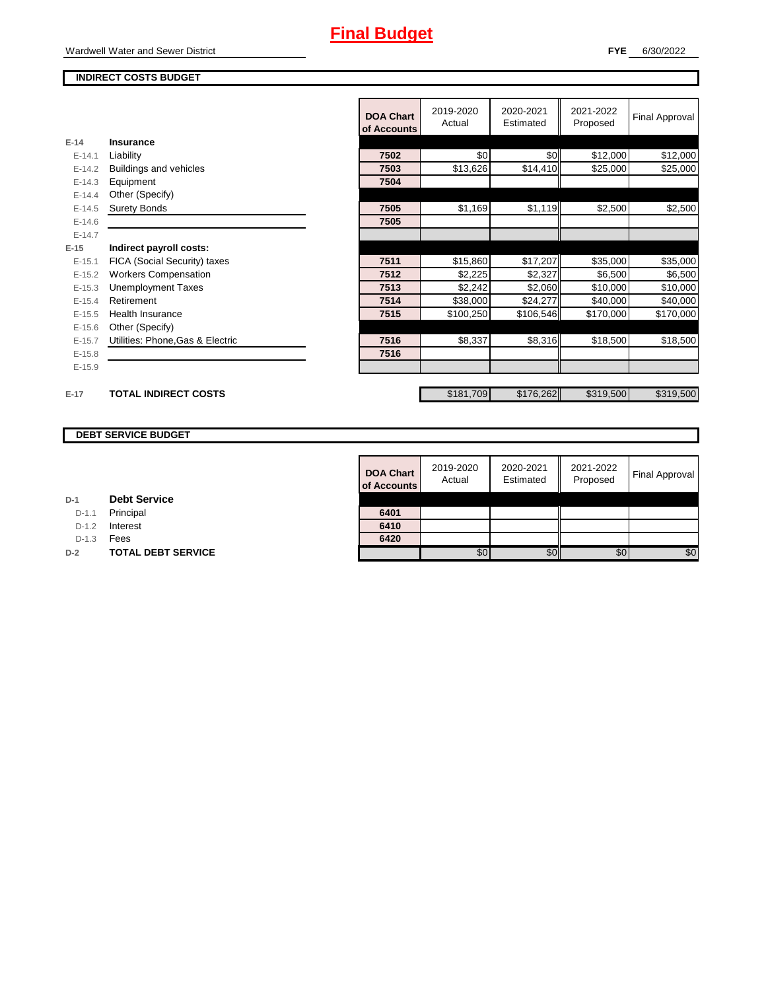#### **FYE** 6/30/2022

#### **INDIRECT COSTS BUDGET**

|          |                                  | <b>DOA Chart</b><br>of Accounts | 2019-2020<br>Actual | 2020-2021<br>Estimated | 2021-2022<br>Proposed | Final Approval |
|----------|----------------------------------|---------------------------------|---------------------|------------------------|-----------------------|----------------|
| $E-14$   | <b>Insurance</b>                 |                                 |                     |                        |                       |                |
| $E-14.1$ | Liability                        | 7502                            | \$0                 | \$0                    | \$12,000              | \$12,000       |
| $E-14.2$ | Buildings and vehicles           | 7503                            | \$13,626            | \$14,410               | \$25,000              | \$25,000       |
| $E-14.3$ | Equipment                        | 7504                            |                     |                        |                       |                |
| $E-14.4$ | Other (Specify)                  |                                 |                     |                        |                       |                |
| $E-14.5$ | <b>Surety Bonds</b>              | 7505                            | \$1,169             | \$1,119                | \$2,500               | \$2,500        |
| $E-14.6$ |                                  | 7505                            |                     |                        |                       |                |
| $E-14.7$ |                                  |                                 |                     |                        |                       |                |
| $E-15$   | Indirect payroll costs:          |                                 |                     |                        |                       |                |
| $E-15.1$ | FICA (Social Security) taxes     | 7511                            | \$15,860            | \$17,207               | \$35,000              | \$35,000       |
| $E-15.2$ | <b>Workers Compensation</b>      | 7512                            | \$2,225             | \$2,327                | \$6,500               | \$6,500        |
| $E-15.3$ | <b>Unemployment Taxes</b>        | 7513                            | \$2,242             | \$2,060                | \$10,000              | \$10,000       |
| $E-15.4$ | Retirement                       | 7514                            | \$38,000            | \$24,277               | \$40,000              | \$40,000       |
| $E-15.5$ | <b>Health Insurance</b>          | 7515                            | \$100,250           | \$106,546              | \$170,000             | \$170,000      |
| $E-15.6$ | Other (Specify)                  |                                 |                     |                        |                       |                |
| $E-15.7$ | Utilities: Phone, Gas & Electric | 7516                            | \$8,337             | \$8,316                | \$18,500              | \$18,500       |
| $E-15.8$ |                                  | 7516                            |                     |                        |                       |                |
| $E-15.9$ |                                  |                                 |                     |                        |                       |                |
|          |                                  |                                 |                     |                        |                       |                |
| $E-17$   | <b>TOTAL INDIRECT COSTS</b>      |                                 | \$181,709           | \$176,262              | \$319,500             | \$319,500      |

#### **DEBT SERVICE BUDGET**

| <b>DOA Chart</b><br>of Accounts | 2019-2020<br>Actual | 2020-2021<br>Estimated | 2021-2022<br>Proposed | <b>Final Approval</b> |
|---------------------------------|---------------------|------------------------|-----------------------|-----------------------|
| 6401                            |                     |                        |                       |                       |
| 6410                            |                     |                        |                       |                       |
| 6420                            |                     |                        |                       |                       |
|                                 | 80                  |                        | SC.                   | \$0                   |

| D-1 |  | <b>Debt Service</b> |
|-----|--|---------------------|
|-----|--|---------------------|

D-1.1 Principal

D-1.2 **Interest** 

D-1.3 **Fees** 

**D-2 TOTAL DEBT SERVICE**